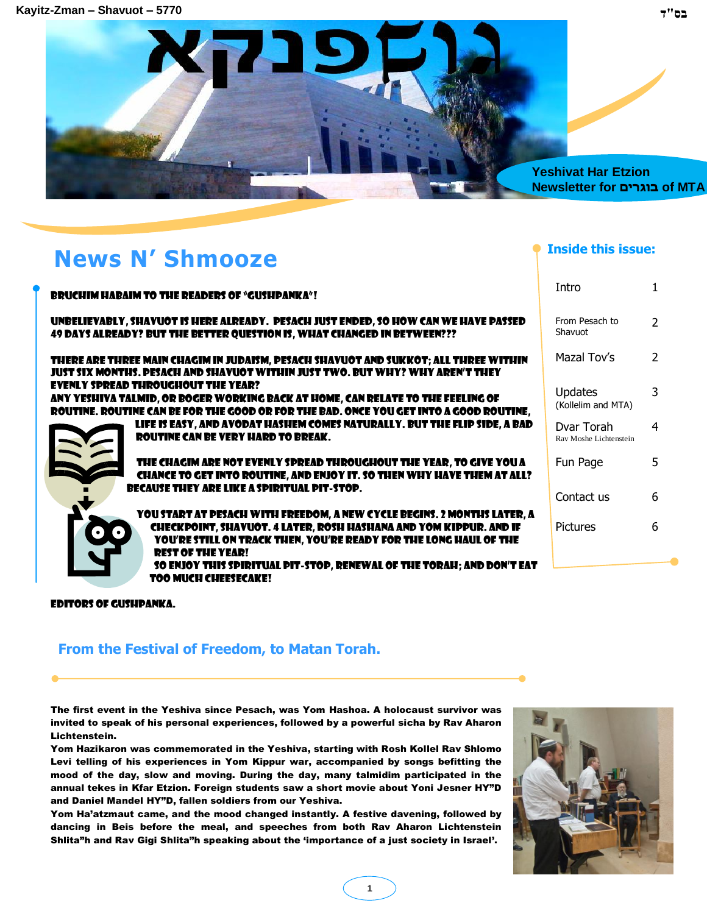

# **News N' Shmooze**

| <b>BRUCHIM HABAIM TO THE READERS OF "GUSHPANKA"!</b>                                                                                                                                                                                               | Intro                                |               |
|----------------------------------------------------------------------------------------------------------------------------------------------------------------------------------------------------------------------------------------------------|--------------------------------------|---------------|
| UNBELIEVABLY, SHAVUOT IS HERE ALREADY. PESACH JUST ENDED, SO HOW CAN WE HAVE PASSED<br>49 DAYS ALREADY? BUT THE BETTER QUESTION IS, WHAT CHANGED IN BETWEEN???                                                                                     | From Pesach to<br>Shavuot            | $\mathcal{P}$ |
| THERE ARE THREE MAIN CHAGIM IN JUDAISM, PESACH SHAVUOT AND SUKKOT; ALL THREE WITHIN<br>JUST SIX MONTHS. PESACH AND SHAVUOT WITHIN JUST TWO. BUT WHY? WHY AREN'T THEY                                                                               | Mazal Tov's                          | $\mathcal{P}$ |
| <b>EVENLY SPREAD THROUGHOUT THE YEAR?</b><br>ANY YESHIVA TALMID, OR BOGER WORKING BACK AT HOME, CAN RELATE TO THE FEELING OF<br>ROUTINE. ROUTINE CAN BE FOR THE GOOD OR FOR THE BAD. ONCE YOU GET INTO A GOOD ROUTINE,                             | <b>Updates</b><br>(Kollelim and MTA) | 3             |
| LIFE IS EASY, AND AVODAT HASHEM COMES NATURALLY. BUT THE FLIP SIDE, A BAD<br><b>ROUTINE CAN BE VERY HARD TO BREAK.</b>                                                                                                                             | Dvar Torah<br>Ray Moshe Lichtenstein | 4             |
| THE CHAGIM ARE NOT EVENLY SPREAD THROUGHOUT THE YEAR, TO GIVE YOU A<br>CHANCE TO GET INTO ROUTINE, AND ENJOY IT. 50 THEN WHY HAVE THEM AT ALL?<br><b>BECAUSE THEY ARE LIKE A SPIRITUAL PIT-STOP.</b>                                               | Fun Page                             | 5             |
| YOU START AT PESACH WITH FREEDOM, A NEW CYCLE BEGINS. 2 MONTHS LATER, A                                                                                                                                                                            | Contact us                           | 6             |
| CHECKPOINT, SHAVUOT. 4 LATER, ROSH HASHANA AND YOM KIPPUR. AND IF<br>YOU'RE STILL ON TRACK THEN, YOU'RE READY FOR THE LONG HAUL OF THE<br><b>REST OF THE YEAR!</b><br><b>SO ENJOY THIS SPIRITUAL PIT-STOP, RENEWAL OF THE TORAH; AND DON'T EAT</b> | <b>Pictures</b>                      | 6             |
| <b>TOO MUCH CHEESECAKE!</b>                                                                                                                                                                                                                        |                                      |               |

**1**

#### Editors of Gushpanka.

#### **From the Festival of Freedom, to Matan Torah.**

The first event in the Yeshiva since Pesach, was Yom Hashoa. A holocaust survivor was invited to speak of his personal experiences, followed by a powerful sicha by Rav Aharon Lichtenstein.

Yom Hazikaron was commemorated in the Yeshiva, starting with Rosh Kollel Rav Shlomo Levi telling of his experiences in Yom Kippur war, accompanied by songs befitting the mood of the day, slow and moving. During the day, many talmidim participated in the annual tekes in Kfar Etzion. Foreign students saw a short movie about Yoni Jesner HY"D and Daniel Mandel HY"D, fallen soldiers from our Yeshiva.

Yom Ha"atzmaut came, and the mood changed instantly. A festive davening, followed by dancing in Beis before the meal, and speeches from both Rav Aharon Lichtenstein Shlita"h and Rav Gigi Shlita"h speaking about the 'importance of a just society in Israel'.



**Inside this issue:**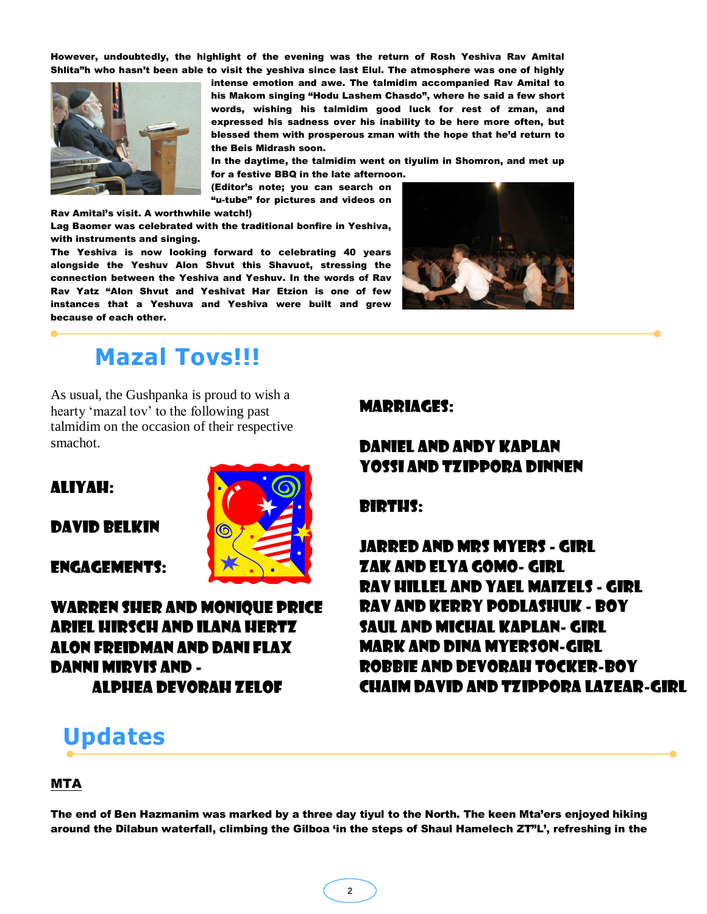However, undoubtedly, the highlight of the evening was the return of Rosh Yeshiva Rav Amital Shlita"h who hasn"t been able to visit the yeshiva since last Elul. The atmosphere was one of highly



intense emotion and awe. The talmidim accompanied Rav Amital to his Makom singing "Hodu Lashem Chasdo", where he said a few short words, wishing his talmidim good luck for rest of zman, and expressed his sadness over his inability to be here more often, but blessed them with prosperous zman with the hope that he"d return to the Beis Midrash soon.

In the daytime, the talmidim went on tiyulim in Shomron, and met up for a festive BBQ in the late afternoon.

(Editor"s note; you can search on "u-tube" for pictures and videos on

Rav Amital"s visit. A worthwhile watch!)

Lag Baomer was celebrated with the traditional bonfire in Yeshiva, with instruments and singing.

The Yeshiva is now looking forward to celebrating 40 years alongside the Yeshuv Alon Shvut this Shavuot, stressing the connection between the Yeshiva and Yeshuv. In the words of Rav Rav Yatz "Alon Shvut and Yeshivat Har Etzion is one of few instances that a Yeshuva and Yeshiva were built and grew because of each other.



### **Mazal Tovs!!!**

As usual, the Gushpanka is proud to wish a hearty 'mazal tov' to the following past talmidim on the occasion of their respective smachot.

#### Aliyah:

#### David Belkin

Engagements:



#### Marriages:

### Daniel and Andy Kaplan Yossi and Tzippora Dinnen

#### Births:

Jarred And Mrs Myers - Girl Zak and elya Gomo- girl Rav hillel and yael Maizels - girl Rav and Kerry Podlashuk - Boy Saul and Michal Kaplan- Girl Mark and Dina Myerson-Girl Robbie and Devorah tocker-Boy Chaim David and Tzippora Lazear-girl

## **Updates**

#### MTA

The end of Ben Hazmanim was marked by a three day tiyul to the North. The keen Mta"ers enjoyed hiking around the Dilabun waterfall, climbing the Gilboa 'in the steps of Shaul Hamelech ZT"L', refreshing in the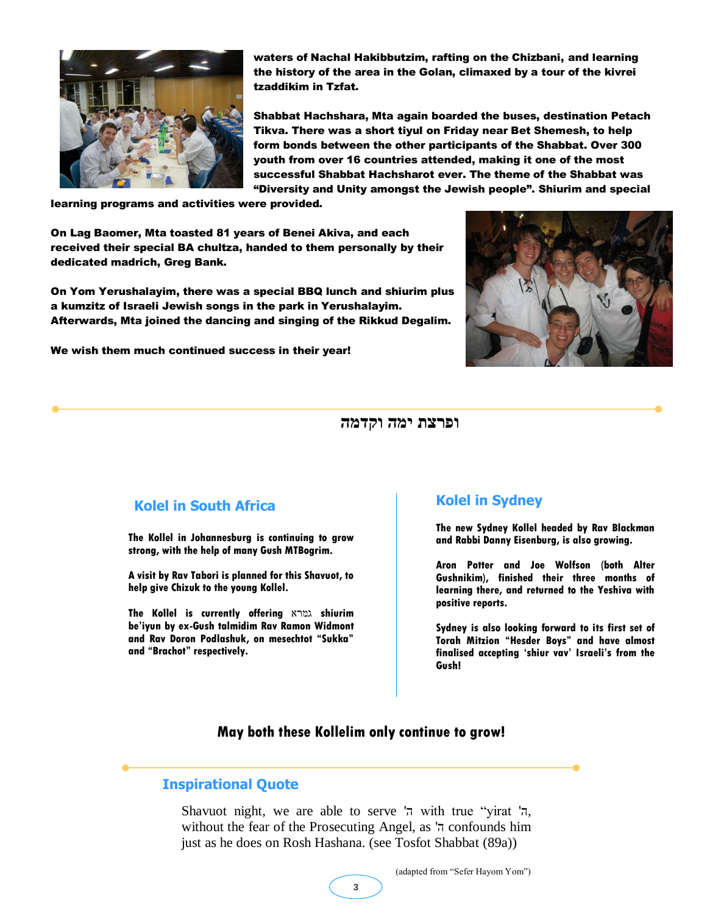

waters of Nachal Hakibbutzim, rafting on the Chizbani, and learning the history of the area in the Golan, climaxed by a tour of the kivrei tzaddikim in Tzfat.

Shabbat Hachshara, Mta again boarded the buses, destination Petach Tikva. There was a short tiyul on Friday near Bet Shemesh, to help form bonds between the other participants of the Shabbat. Over 300 youth from over 16 countries attended, making it one of the most successful Shabbat Hachsharot ever. The theme of the Shabbat was "Diversity and Unity amongst the Jewish people". Shiurim and special

learning programs and activities were provided.

On Lag Baomer, Mta toasted 81 years of Benei Akiva, and each received their special BA chultza, handed to them personally by their dedicated madrich, Greg Bank.

On Yom Yerushalayim, there was a special BBQ lunch and shiurim plus a kumzitz of Israeli Jewish songs in the park in Yerushalayim. Afterwards, Mta joined the dancing and singing of the Rikkud Degalim.

We wish them much continued success in their year!



**ופרצת ימה וקדמה** 

#### **Kolel in South Africa**

**The Kollel in Johannesburg is continuing to grow strong, with the help of many Gush MTBogrim.** 

**A visit by Rav Tabori is planned for this Shavuot, to help give Chizuk to the young Kollel.**

**The Kollel is currently offering** גמרא **shiurim be"iyun by ex-Gush talmidim Rav Ramon Widmont and Rav Doron Podlashuk, on mesechtot "Sukka" and "Brachot" respectively.**

#### **Kolel in Sydney**

**The new Sydney Kollel headed by Rav Blackman and Rabbi Danny Eisenburg, is also growing.**

**Aron Potter and Joe Wolfson (both Alter Gushnikim), finished their three months of learning there, and returned to the Yeshiva with positive reports.**

**Sydney is also looking forward to its first set of Torah Mitzion "Hesder Boys" and have almost finalised accepting "shiur vav" Israeli"s from the Gush!**

#### **May both these Kollelim only continue to grow!**

#### **Inspirational Quote**

Shavuot night, we are able to serve 'ה with true "yirat 'ה, without the fear of the Prosecuting Angel, as 'ה confounds him just as he does on Rosh Hashana. (see Tosfot Shabbat (89a))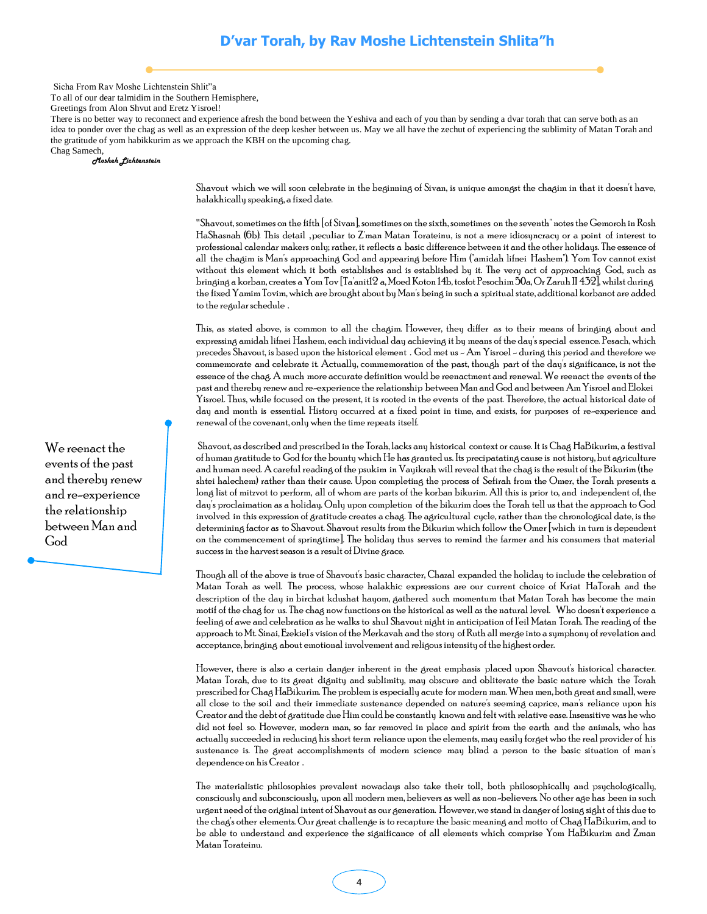Sicha From Rav Moshe Lichtenstein Shlit"a

To all of our dear talmidim in the Southern Hemisphere,

Greetings from Alon Shvut and Eretz Yisroel!

There is no better way to reconnect and experience afresh the bond between the Yeshiva and each of you than by sending a dvar torah that can serve both as an idea to ponder over the chag as well as an expression of the deep kesher between us. May we all have the zechut of experiencing the sublimity of Matan Torah and the gratitude of yom habikkurim as we approach the KBH on the upcoming chag.

Chag Samech, *Mosheh Lichtenstein*

> Shavout which we will soon celebrate in the beginning of Sivan, is unique amongst the chagim in that it doesn't have, halakhically speaking, a fixed date.

> "Shavout, sometimes on the fifth [of Sivan], sometimes on the sixth, sometimes on the seventh" notes the Gemoroh in Rosh HaShasnah (6b). This detail ,peculiar to Z'man Matan Torateinu, is not a mere idiosyncracy or a point of interest to professional calendar makers only; rather, it reflects a basic difference between it and the other holidays. The essence of all the chagim is Man's approaching God and appearing before Him ("amidah lifnei Hashem"). Yom Tov cannot exist without this element which it both establishes and is established by it. The very act of approaching God, such as bringing a korban, creates a Yom Tov [Ta'anit12 a, Moed Koton 14b, tosfot Pesochim 50a, Or Zaruh II 432], whilst during the fixed Yamim Tovim, which are brought about by Man's being in such a spiritual state, additional korbanot are added to the regular schedule .

> This, as stated above, is common to all the chagim. However, they differ as to their means of bringing about and expressing amidah lifnei Hashem, each individual day achieving it by means of the day's special essence. Pesach, which precedes Shavout, is based upon the historical element . God met us - Am Yisroel - during this period and therefore we commemorate and celebrate it. Actually, commemoration of the past, though part of the day's significance, is not the essence of the chag. A much more accurate definition would be reenactment and renewal. We reenact the events of the past and thereby renew and re-experience the relationship between Man and God and between Am Yisroel and Elokei Yisroel. Thus, while focused on the present, it is rooted in the events of the past. Therefore, the actual historical date of day and month is essential. History occurred at a fixed point in time, and exists, for purposes of re-experience and renewal of the covenant, only when the time repeats itself.

> Shavout, as described and prescribed in the Torah, lacks any historical context or cause. It is Chag HaBikurim, a festival of human gratitude to God for the bounty which He has granted us. Its precipatating cause is not history, but agriculture and human need. A careful reading of the psukim in Vayikrah will reveal that the chag is the result of the Bikurim (the shtei halechem) rather than their cause. Upon completing the process of Sefirah from the Omer, the Torah presents a long list of mitzvot to perform, all of whom are parts of the korban bikurim. All this is prior to, and independent of, the day's proclaimation as a holiday. Only upon completion of the bikurim does the Torah tell us that the approach to God involved in this expression of gratitude creates a chag. The agricultural cycle, rather than the chronological date, is the determining factor as to Shavout. Shavout results from the Bikurim which follow the Omer [which in turn is dependent on the commencement of springtime]. The holiday thus serves to remind the farmer and his consumers that material success in the harvest season is a result of Divine grace.

> Though all of the above is true of Shavout's basic character, Chazal expanded the holiday to include the celebration of Matan Torah as well. The process, whose halakhic expressions are our current choice of Kriat HaTorah and the description of the day in birchat kdushat hayom, gathered such momentum that Matan Torah has become the main motif of the chag for us. The chag now functions on the historical as well as the natural level. Who doesn't experience a feeling of awe and celebration as he walks to shul Shavout night in anticipation of l'eil Matan Torah. The reading of the approach to Mt. Sinai, Ezekiel's vision of the Merkavah and the story of Ruth all merge into a symphony of revelation and acceptance, bringing about emotional involvement and religous intensity of the highest order.

> However, there is also a certain danger inherent in the great emphasis placed upon Shavout's historical character. Matan Torah, due to its great dignity and sublimity, may obscure and obliterate the basic nature which the Torah prescribed for Chag HaBikurim. The problem is especially acute for modern man. When men, both great and small, were all close to the soil and their immediate sustenance depended on nature's seeming caprice, man's reliance upon his Creator and the debt of gratitude due Him could be constantly known and felt with relative ease. Insensitive was he who did not feel so. However, modern man, so far removed in place and spirit from the earth and the animals, who has actually succeeded in reducing his short term reliance upon the elements, may easily forget who the real provider of his sustenance is. The great accomplishments of modern science may blind a person to the basic situation of man's dependence on his Creator .

> The materialistic philosophies prevalent nowadays also take their toll, both philosophically and psychologically, consciously and subconsciously, upon all modern men, believers as well as non-believers. No other age has been in such urgent need of the original intent of Shavout as our generation. However, we stand in danger of losing sight of this due to the chag's other elements. Our great challenge is to recapture the basic meaning and motto of Chag HaBikurim, and to be able to understand and experience the significance of all elements which comprise Yom HaBikurim and Zman Matan Torateinu.

We reenact the events of the past and thereby renew and re-experience the relationship between Man and God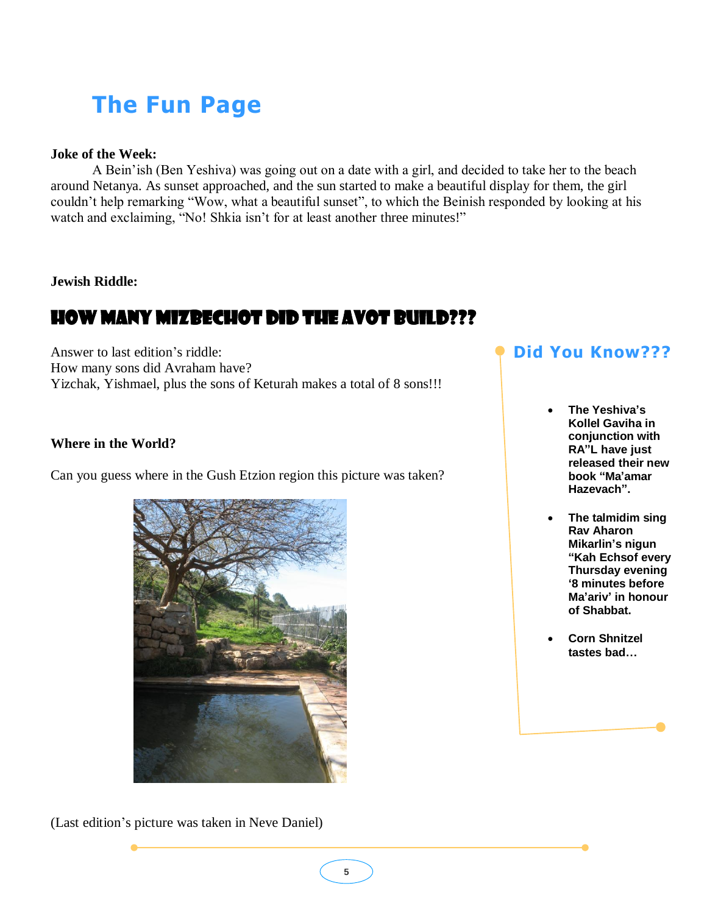# **The Fun Page**

#### **Joke of the Week:**

A Bein"ish (Ben Yeshiva) was going out on a date with a girl, and decided to take her to the beach around Netanya. As sunset approached, and the sun started to make a beautiful display for them, the girl couldn"t help remarking "Wow, what a beautiful sunset", to which the Beinish responded by looking at his watch and exclaiming, "No! Shkia isn't for at least another three minutes!"

#### **Jewish Riddle:**

### How many Mizbechot did the Avot build???

Answer to last edition"s riddle: How many sons did Avraham have? Yizchak, Yishmael, plus the sons of Keturah makes a total of 8 sons!!!

#### **Where in the World?**

Can you guess where in the Gush Etzion region this picture was taken?



(Last edition"s picture was taken in Neve Daniel)

### **Did You Know???**

- **The Yeshiva"s Kollel Gaviha in conjunction with RA"L have just released their new book "Ma"amar Hazevach".**
- **The talmidim sing Rav Aharon Mikarlin"s nigun "Kah Echsof every Thursday evening "8 minutes before Ma"ariv" in honour of Shabbat.**
- **Corn Shnitzel tastes bad…**